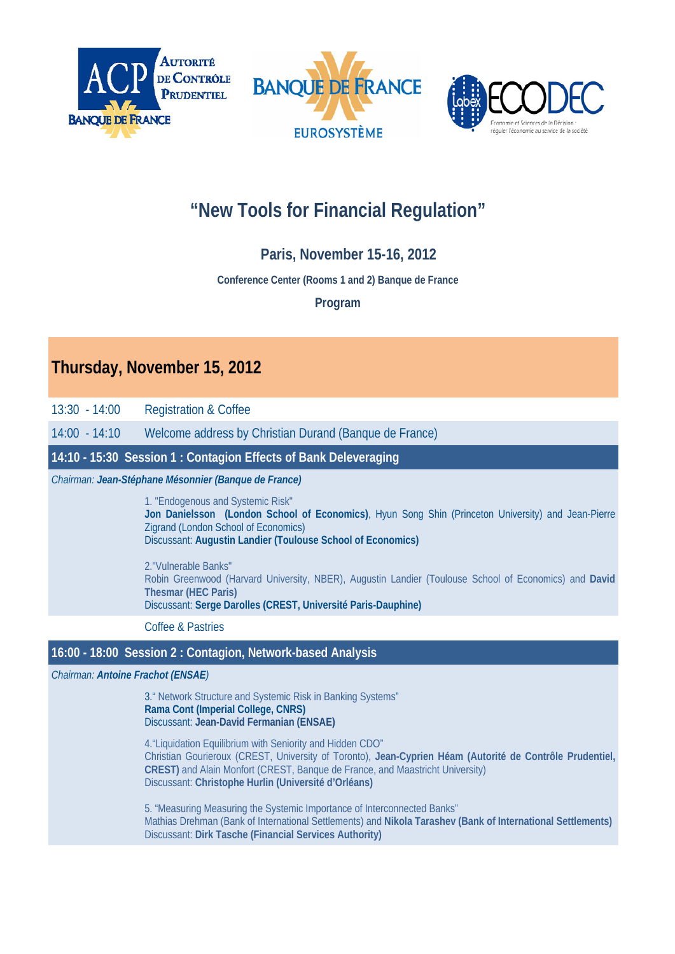





# **"New Tools for Financial Regulation"**

# **Paris, November 15-16, 2012**

# **Conference Center (Rooms 1 and 2) Banque de France**

# **Program**

# **Thursday, November 15, 2012**

13:30 - 14:00 Registration & Coffee

14:00 - 14:10 Welcome address by Christian Durand (Banque de France)

**14:10 - 15:30 Session 1 : Contagion Effects of Bank Deleveraging**

*Chairman: Jean-Stéphane Mésonnier (Banque de France)*

1. "Endogenous and Systemic Risk" **Jon Danielsson (London School of Economics)**, Hyun Song Shin (Princeton University) and Jean-Pierre Zigrand (London School of Economics) Discussant: **Augustin Landier (Toulouse School of Economics)**

2."Vulnerable Banks" Robin Greenwood (Harvard University, NBER), Augustin Landier (Toulouse School of Economics) and **David Thesmar (HEC Paris)**  Discussant: **Serge Darolles (CREST, Université Paris-Dauphine)**

Coffee & Pastries

# **16:00 - 18:00 Session 2 : Contagion, Network-based Analysis**

*Chairman: Antoine Frachot (ENSAE)*

3." Network Structure and Systemic Risk in Banking Systems" **Rama Cont (Imperial College, CNRS)**  Discussant: **Jean-David Fermanian (ENSAE)**

4."Liquidation Equilibrium with Seniority and Hidden CDO" Christian Gourieroux (CREST, University of Toronto), **Jean-Cyprien Héam (Autorité de Contrôle Prudentiel, CREST)** and Alain Monfort (CREST, Banque de France, and Maastricht University) Discussant: **Christophe Hurlin (Université d'Orléans)** 

5. "Measuring Measuring the Systemic Importance of Interconnected Banks" Mathias Drehman (Bank of International Settlements) and **Nikola Tarashev (Bank of International Settlements)**  Discussant: **Dirk Tasche (Financial Services Authority)**